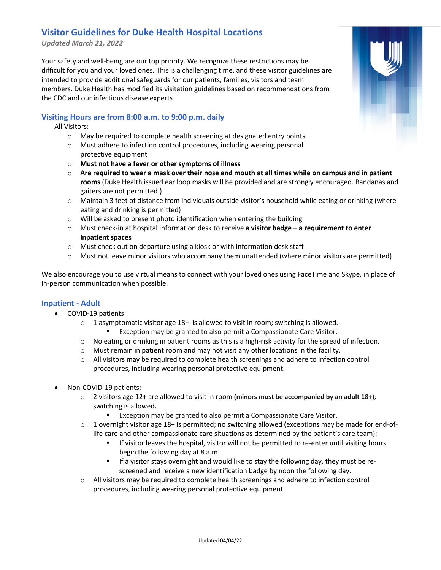# **Visitor Guidelines for Duke Health Hospital Locations**

*Updated March 21, 2022*

Your safety and well-being are our top priority. We recognize these restrictions may be difficult for you and your loved ones. This is a challenging time, and these visitor guidelines are intended to provide additional safeguards for our patients, families, visitors and team members. Duke Health has modified its visitation guidelines based on recommendations from the CDC and our infectious disease experts.

### **Visiting Hours are from 8:00 a.m. to 9:00 p.m. daily**

All Visitors:

- o May be required to complete health screening at designated entry points
- o Must adhere to infection control procedures, including wearing personal protective equipment
- o **Must not have a fever or other symptoms of illness**
- o **Are required to wear a mask over their nose and mouth at all times while on campus and in patient rooms** (Duke Health issued ear loop masks will be provided and are strongly encouraged. Bandanas and gaiters are not permitted.)
- o Maintain 3 feet of distance from individuals outside visitor's household while eating or drinking (where eating and drinking is permitted)
- o Will be asked to present photo identification when entering the building
- o Must check-in at hospital information desk to receive **a visitor badge – a requirement to enter inpatient spaces**
- $\circ$  Must check out on departure using a kiosk or with information desk staff
- o Must not leave minor visitors who accompany them unattended (where minor visitors are permitted)

We also encourage you to use virtual means to connect with your loved ones using FaceTime and Skype, in place of in-person communication when possible.

#### **Inpatient - Adult**

- COVID-19 patients:
	- $\circ$  1 asymptomatic visitor age 18+ is allowed to visit in room; switching is allowed. Exception may be granted to also permit a Compassionate Care Visitor.
	- $\circ$  No eating or drinking in patient rooms as this is a high-risk activity for the spread of infection.
	- o Must remain in patient room and may not visit any other locations in the facility.
	- o All visitors may be required to complete health screenings and adhere to infection control procedures, including wearing personal protective equipment.
- Non-COVID-19 patients:
	- o 2 visitors age 12+ are allowed to visit in room **(minors must be accompanied by an adult 18+)**; switching is allowed**.**
		- Exception may be granted to also permit a Compassionate Care Visitor.
	- o 1 overnight visitor age 18+ is permitted; no switching allowed (exceptions may be made for end-oflife care and other compassionate care situations as determined by the patient's care team):
		- **■** If visitor leaves the hospital, visitor will not be permitted to re-enter until visiting hours begin the following day at 8 a.m.
		- **■** If a visitor stays overnight and would like to stay the following day, they must be rescreened and receive a new identification badge by noon the following day.
	- $\circ$  All visitors may be required to complete health screenings and adhere to infection control procedures, including wearing personal protective equipment.

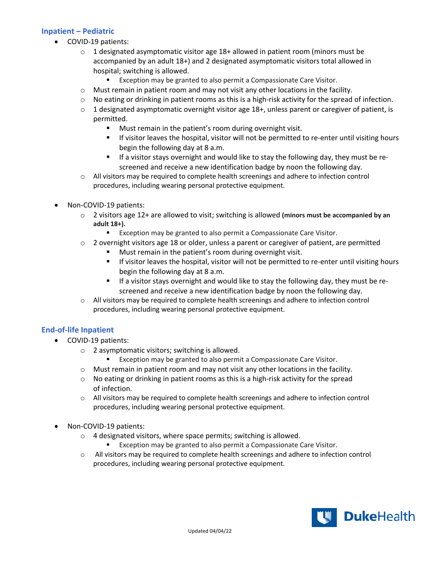# **Inpatient – Pediatric**

- COVID-19 patients:
	- $\circ$  1 designated asymptomatic visitor age 18+ allowed in patient room (minors must be accompanied by an adult 18+) and 2 designated asymptomatic visitors total allowed in hospital; switching is allowed.
		- Exception may be granted to also permit a Compassionate Care Visitor.
	- $\circ$  Must remain in patient room and may not visit any other locations in the facility.
	- $\circ$  No eating or drinking in patient rooms as this is a high-risk activity for the spread of infection.
	- $\circ$  1 designated asymptomatic overnight visitor age 18+, unless parent or caregiver of patient, is permitted.
		- Must remain in the patient's room during overnight visit.
		- If visitor leaves the hospital, visitor will not be permitted to re-enter until visiting hours begin the following day at 8 a.m.
		- § If a visitor stays overnight and would like to stay the following day, they must be rescreened and receive a new identification badge by noon the following day.
	- $\circ$  All visitors may be required to complete health screenings and adhere to infection control procedures, including wearing personal protective equipment.
- Non-COVID-19 patients:
	- o 2 visitors age 12+ are allowed to visit; switching is allowed **(minors must be accompanied by an adult 18+).**
		- Exception may be granted to also permit a Compassionate Care Visitor.
	- $\circ$  2 overnight visitors age 18 or older, unless a parent or caregiver of patient, are permitted
		- Must remain in the patient's room during overnight visit.
		- **■** If visitor leaves the hospital, visitor will not be permitted to re-enter until visiting hours begin the following day at 8 a.m.
		- **■** If a visitor stays overnight and would like to stay the following day, they must be rescreened and receive a new identification badge by noon the following day.
	- o All visitors may be required to complete health screenings and adhere to infection control procedures, including wearing personal protective equipment.

# **End-of-life Inpatient**

- COVID-19 patients:
	- o 2 asymptomatic visitors; switching is allowed.
		- Exception may be granted to also permit a Compassionate Care Visitor.
	- $\circ$  Must remain in patient room and may not visit any other locations in the facility.
	- $\circ$  No eating or drinking in patient rooms as this is a high-risk activity for the spread of infection.
	- $\circ$  All visitors may be required to complete health screenings and adhere to infection control procedures, including wearing personal protective equipment.
- Non-COVID-19 patients:
	- o 4 designated visitors, where space permits; switching is allowed.
		- Exception may be granted to also permit a Compassionate Care Visitor.
	- o All visitors may be required to complete health screenings and adhere to infection control procedures, including wearing personal protective equipment.

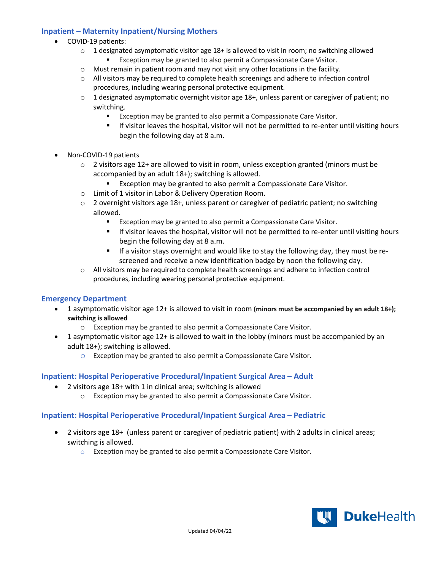# **Inpatient – Maternity Inpatient/Nursing Mothers**

- COVID-19 patients:
	- $\circ$  1 designated asymptomatic visitor age 18+ is allowed to visit in room; no switching allowed Exception may be granted to also permit a Compassionate Care Visitor.
	- o Must remain in patient room and may not visit any other locations in the facility.
	- o All visitors may be required to complete health screenings and adhere to infection control procedures, including wearing personal protective equipment.
	- o 1 designated asymptomatic overnight visitor age 18+, unless parent or caregiver of patient; no switching.
		- Exception may be granted to also permit a Compassionate Care Visitor.
		- If visitor leaves the hospital, visitor will not be permitted to re-enter until visiting hours begin the following day at 8 a.m.
- Non-COVID-19 patients
	- $\circ$  2 visitors age 12+ are allowed to visit in room, unless exception granted (minors must be accompanied by an adult 18+); switching is allowed.
		- Exception may be granted to also permit a Compassionate Care Visitor.
	- o Limit of 1 visitor in Labor & Delivery Operation Room.
	- $\circ$  2 overnight visitors age 18+, unless parent or caregiver of pediatric patient; no switching allowed.
		- Exception may be granted to also permit a Compassionate Care Visitor.
		- If visitor leaves the hospital, visitor will not be permitted to re-enter until visiting hours begin the following day at 8 a.m.
		- **■** If a visitor stays overnight and would like to stay the following day, they must be rescreened and receive a new identification badge by noon the following day.
	- o All visitors may be required to complete health screenings and adhere to infection control procedures, including wearing personal protective equipment.

#### **Emergency Department**

- 1 asymptomatic visitor age 12+ is allowed to visit in room **(minors must be accompanied by an adult 18+); switching is allowed**
	- o Exception may be granted to also permit a Compassionate Care Visitor.
- 1 asymptomatic visitor age 12+ is allowed to wait in the lobby (minors must be accompanied by an adult 18+); switching is allowed.
	- o Exception may be granted to also permit a Compassionate Care Visitor.

#### **Inpatient: Hospital Perioperative Procedural/Inpatient Surgical Area – Adult**

- 2 visitors age 18+ with 1 in clinical area; switching is allowed
	- o Exception may be granted to also permit a Compassionate Care Visitor.

#### **Inpatient: Hospital Perioperative Procedural/Inpatient Surgical Area – Pediatric**

- 2 visitors age 18+ (unless parent or caregiver of pediatric patient) with 2 adults in clinical areas; switching is allowed.
	- o Exception may be granted to also permit a Compassionate Care Visitor.

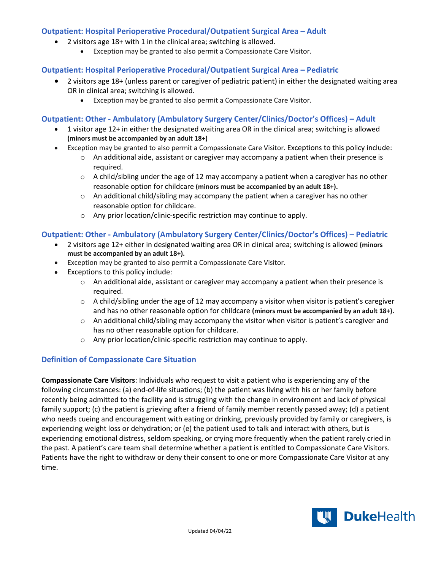# **Outpatient: Hospital Perioperative Procedural/Outpatient Surgical Area – Adult**

- 2 visitors age 18+ with 1 in the clinical area; switching is allowed.
	- Exception may be granted to also permit a Compassionate Care Visitor.

## **Outpatient: Hospital Perioperative Procedural/Outpatient Surgical Area – Pediatric**

- 2 visitors age 18+ (unless parent or caregiver of pediatric patient) in either the designated waiting area OR in clinical area; switching is allowed.
	- Exception may be granted to also permit a Compassionate Care Visitor.

# **Outpatient: Other - Ambulatory (Ambulatory Surgery Center/Clinics/Doctor's Offices) – Adult**

- 1 visitor age 12+ in either the designated waiting area OR in the clinical area; switching is allowed **(minors must be accompanied by an adult 18+)**
- Exception may be granted to also permit a Compassionate Care Visitor. Exceptions to this policy include:
	- $\circ$  An additional aide, assistant or caregiver may accompany a patient when their presence is required.
	- $\circ$  A child/sibling under the age of 12 may accompany a patient when a caregiver has no other reasonable option for childcare **(minors must be accompanied by an adult 18+).**
	- $\circ$  An additional child/sibling may accompany the patient when a caregiver has no other reasonable option for childcare.
	- o Any prior location/clinic-specific restriction may continue to apply.

# **Outpatient: Other - Ambulatory (Ambulatory Surgery Center/Clinics/Doctor's Offices) – Pediatric**

- 2 visitors age 12+ either in designated waiting area OR in clinical area; switching is allowed **(minors must be accompanied by an adult 18+).**
- Exception may be granted to also permit a Compassionate Care Visitor.
- Exceptions to this policy include:
	- $\circ$  An additional aide, assistant or caregiver may accompany a patient when their presence is required.
	- $\circ$  A child/sibling under the age of 12 may accompany a visitor when visitor is patient's caregiver and has no other reasonable option for childcare **(minors must be accompanied by an adult 18+).**
	- $\circ$  An additional child/sibling may accompany the visitor when visitor is patient's caregiver and has no other reasonable option for childcare.
	- o Any prior location/clinic-specific restriction may continue to apply.

# **Definition of Compassionate Care Situation**

**Compassionate Care Visitors**: Individuals who request to visit a patient who is experiencing any of the following circumstances: (a) end-of-life situations; (b) the patient was living with his or her family before recently being admitted to the facility and is struggling with the change in environment and lack of physical family support; (c) the patient is grieving after a friend of family member recently passed away; (d) a patient who needs cueing and encouragement with eating or drinking, previously provided by family or caregivers, is experiencing weight loss or dehydration; or (e) the patient used to talk and interact with others, but is experiencing emotional distress, seldom speaking, or crying more frequently when the patient rarely cried in the past. A patient's care team shall determine whether a patient is entitled to Compassionate Care Visitors. Patients have the right to withdraw or deny their consent to one or more Compassionate Care Visitor at any time.